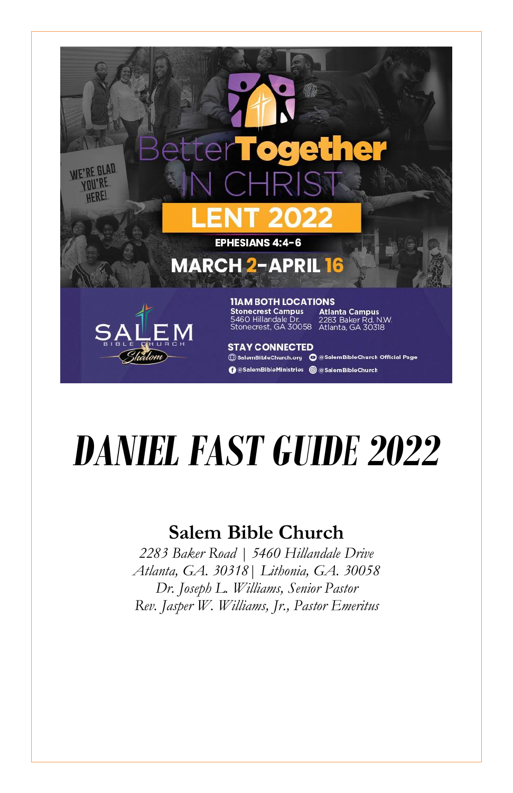

# *DANIEL FAST GUIDE 2022*

#### **Salem Bible Church**

*2283 Baker Road | 5460 Hillandale Drive Atlanta, GA. 30318| Lithonia, GA. 30058 Dr. Joseph L. Williams, Senior Pastor Rev. Jasper W. Williams, Jr., Pastor Emeritus*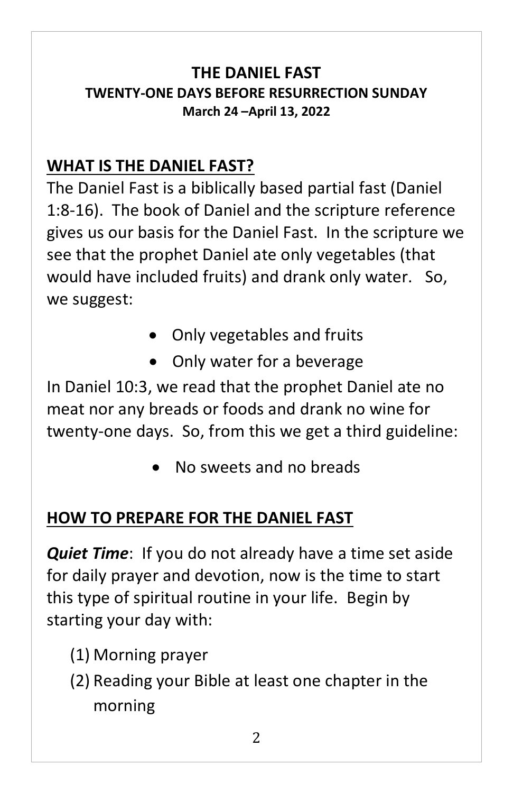#### **THE DANIEL FAST TWENTY-ONE DAYS BEFORE RESURRECTION SUNDAY March 24 –April 13, 2022**

#### **WHAT IS THE DANIEL FAST?**

The Daniel Fast is a biblically based partial fast (Daniel 1:8-16). The book of Daniel and the scripture reference gives us our basis for the Daniel Fast. In the scripture we see that the prophet Daniel ate only vegetables (that would have included fruits) and drank only water. So, we suggest:

- Only vegetables and fruits
- Only water for a beverage

In Daniel 10:3, we read that the prophet Daniel ate no meat nor any breads or foods and drank no wine for twenty-one days. So, from this we get a third guideline:

No sweets and no breads

#### **HOW TO PREPARE FOR THE DANIEL FAST**

*Quiet Time*: If you do not already have a time set aside for daily prayer and devotion, now is the time to start this type of spiritual routine in your life. Begin by starting your day with:

- (1) Morning prayer
- (2) Reading your Bible at least one chapter in the morning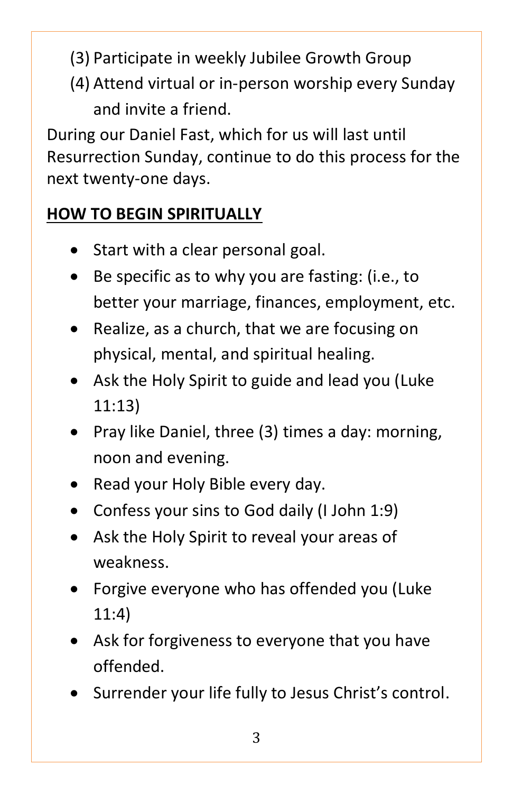- (3) Participate in weekly Jubilee Growth Group
- (4) Attend virtual or in-person worship every Sunday and invite a friend.

During our Daniel Fast, which for us will last until Resurrection Sunday, continue to do this process for the next twenty-one days.

## **HOW TO BEGIN SPIRITUALLY**

- Start with a clear personal goal.
- Be specific as to why you are fasting: (i.e., to better your marriage, finances, employment, etc.
- Realize, as a church, that we are focusing on physical, mental, and spiritual healing.
- Ask the Holy Spirit to guide and lead you (Luke 11:13)
- Pray like Daniel, three (3) times a day: morning, noon and evening.
- Read your Holy Bible every day.
- Confess your sins to God daily (I John 1:9)
- Ask the Holy Spirit to reveal your areas of weakness.
- Forgive everyone who has offended you (Luke 11:4)
- Ask for forgiveness to everyone that you have offended.
- Surrender your life fully to Jesus Christ's control.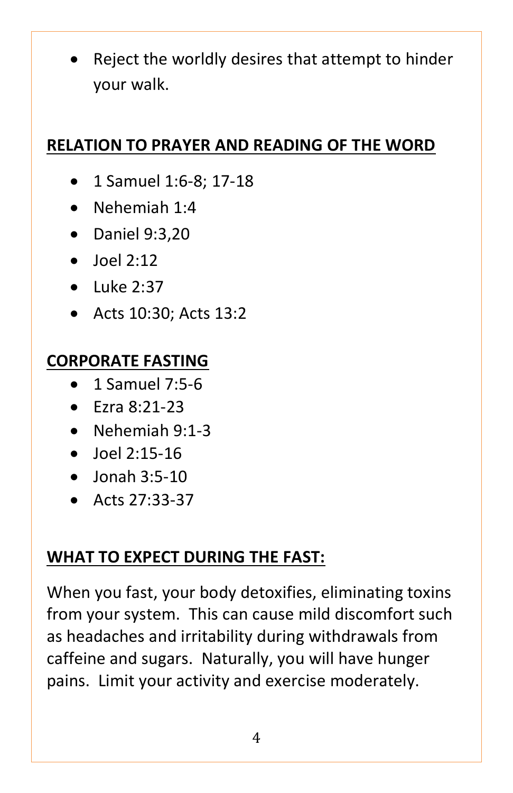Reject the worldly desires that attempt to hinder your walk.

#### **RELATION TO PRAYER AND READING OF THE WORD**

- 1 Samuel 1:6-8; 17-18
- Nehemiah 1:4
- Daniel 9:3,20
- $\bullet$  Ioel 2:12
- $\blacksquare$ Luke 2:37
- Acts 10:30; Acts 13:2

#### **CORPORATE FASTING**

- 1 Samuel 7:5-6
- $\blacktriangleright$  Fzra 8:21-23
- Nehemiah 9:1-3
- $\bullet$  Joel 2:15-16
- $\bullet$  Jonah 3:5-10
- $\bullet$  Acts 27:33-37

## **WHAT TO EXPECT DURING THE FAST:**

When you fast, your body detoxifies, eliminating toxins from your system. This can cause mild discomfort such as headaches and irritability during withdrawals from caffeine and sugars. Naturally, you will have hunger pains. Limit your activity and exercise moderately.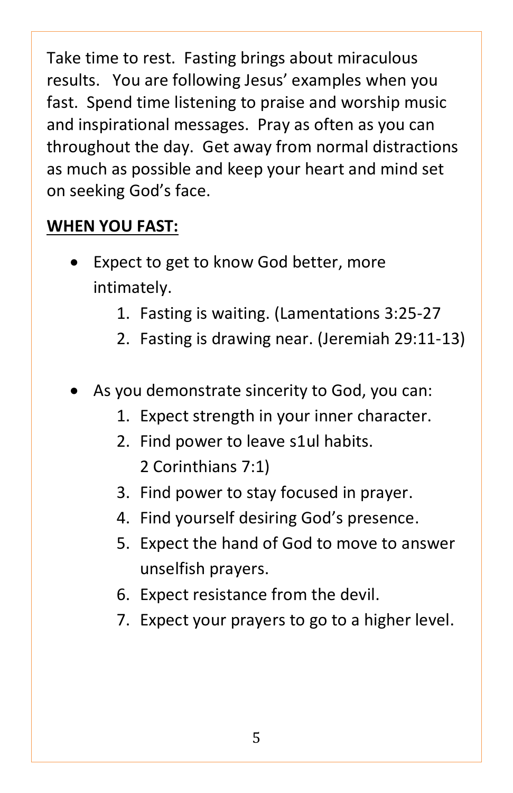Take time to rest. Fasting brings about miraculous results. You are following Jesus' examples when you fast. Spend time listening to praise and worship music and inspirational messages. Pray as often as you can throughout the day. Get away from normal distractions as much as possible and keep your heart and mind set on seeking God's face.

#### **WHEN YOU FAST:**

- Expect to get to know God better, more intimately.
	- 1. Fasting is waiting. (Lamentations 3:25-27
	- 2. Fasting is drawing near. (Jeremiah 29:11-13)
- As you demonstrate sincerity to God, you can:
	- 1. Expect strength in your inner character.
	- 2. Find power to leave s1ul habits. 2 Corinthians 7:1)
	- 3. Find power to stay focused in prayer.
	- 4. Find yourself desiring God's presence.
	- 5. Expect the hand of God to move to answer unselfish prayers.
	- 6. Expect resistance from the devil.
	- 7. Expect your prayers to go to a higher level.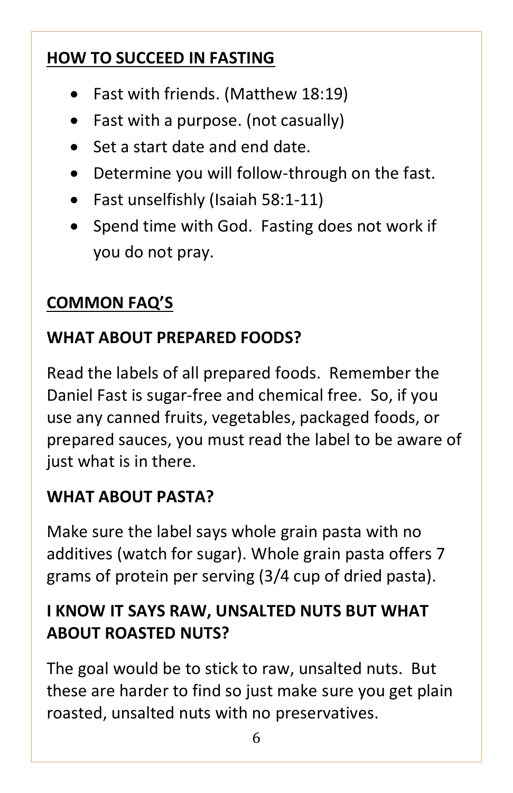## **HOW TO SUCCEED IN FASTING**

- Fast with friends. (Matthew 18:19)
- Fast with a purpose. (not casually)
- Set a start date and end date.
- Determine you will follow-through on the fast.
- Fast unselfishly (Isaiah 58:1-11)
- Spend time with God. Fasting does not work if you do not pray.

## **COMMON FAQ'S**

## **WHAT ABOUT PREPARED FOODS?**

Read the labels of all prepared foods. Remember the Daniel Fast is sugar-free and chemical free. So, if you use any canned fruits, vegetables, packaged foods, or prepared sauces, you must read the label to be aware of just what is in there.

## **WHAT ABOUT PASTA?**

Make sure the label says whole grain pasta with no additives (watch for sugar). Whole grain pasta offers 7 grams of protein per serving (3/4 cup of dried pasta).

## **I KNOW IT SAYS RAW, UNSALTED NUTS BUT WHAT ABOUT ROASTED NUTS?**

The goal would be to stick to raw, unsalted nuts. But these are harder to find so just make sure you get plain roasted, unsalted nuts with no preservatives.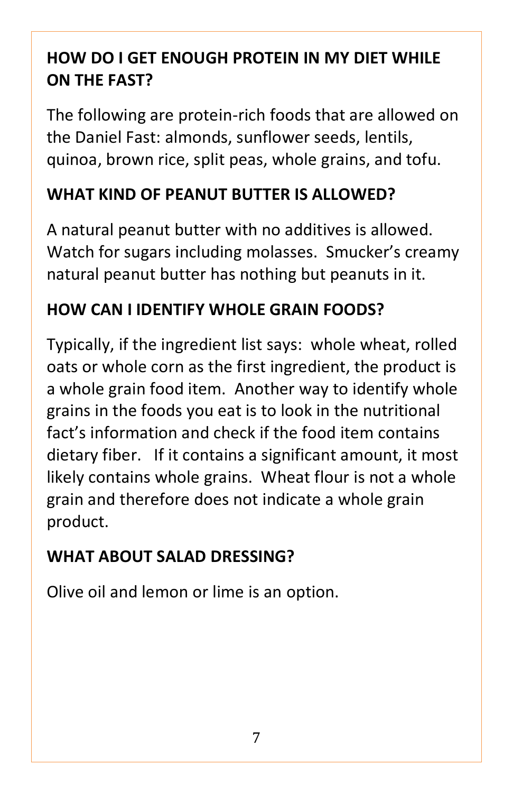## **HOW DO I GET ENOUGH PROTEIN IN MY DIET WHILE ON THE FAST?**

The following are protein-rich foods that are allowed on the Daniel Fast: almonds, sunflower seeds, lentils, quinoa, brown rice, split peas, whole grains, and tofu.

#### **WHAT KIND OF PEANUT BUTTER IS ALLOWED?**

A natural peanut butter with no additives is allowed. Watch for sugars including molasses. Smucker's creamy natural peanut butter has nothing but peanuts in it.

## **HOW CAN I IDENTIFY WHOLE GRAIN FOODS?**

Typically, if the ingredient list says: whole wheat, rolled oats or whole corn as the first ingredient, the product is a whole grain food item. Another way to identify whole grains in the foods you eat is to look in the nutritional fact's information and check if the food item contains dietary fiber. If it contains a significant amount, it most likely contains whole grains. Wheat flour is not a whole grain and therefore does not indicate a whole grain product.

# **WHAT ABOUT SALAD DRESSING?**

Olive oil and lemon or lime is an option.